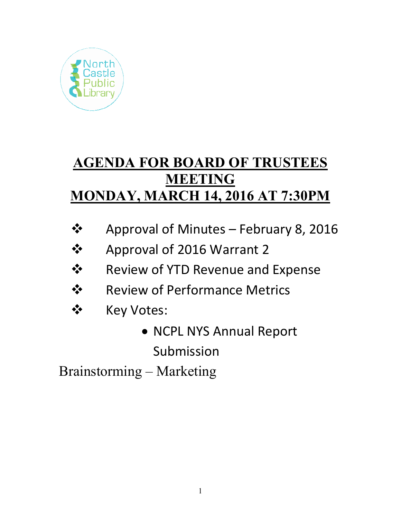

# **AGENDA FOR BOARD OF TRUSTEES MEETING MONDAY, MARCH 14, 2016 AT 7:30PM**

- Approval of Minutes February 8, 2016
- Approval of 2016 Warrant 2
- Review of YTD Revenue and Expense
- **❖** Review of Performance Metrics
- ❖ Key Votes:
	- NCPL NYS Annual Report Submission

Brainstorming – Marketing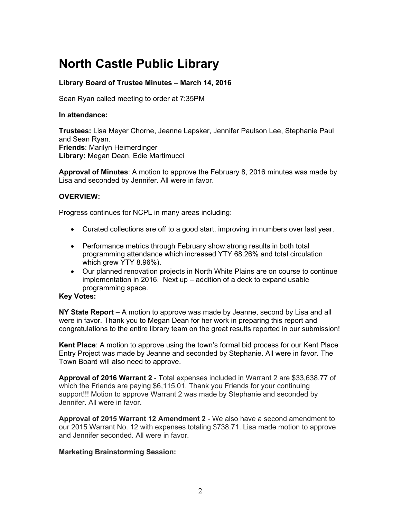# **North Castle Public Library**

# **Library Board of Trustee Minutes – March 14, 2016**

Sean Ryan called meeting to order at 7:35PM

#### **In attendance:**

**Trustees:** Lisa Meyer Chorne, Jeanne Lapsker, Jennifer Paulson Lee, Stephanie Paul and Sean Ryan. **Friends**: Marilyn Heimerdinger **Library:** Megan Dean, Edie Martimucci

**Approval of Minutes**: A motion to approve the February 8, 2016 minutes was made by Lisa and seconded by Jennifer. All were in favor.

#### **OVERVIEW:**

Progress continues for NCPL in many areas including:

- Curated collections are off to a good start, improving in numbers over last year.
- Performance metrics through February show strong results in both total programming attendance which increased YTY 68.26% and total circulation which grew YTY 8.96%).
- Our planned renovation projects in North White Plains are on course to continue implementation in 2016. Next up – addition of a deck to expand usable programming space.

#### **Key Votes:**

**NY State Report** – A motion to approve was made by Jeanne, second by Lisa and all were in favor. Thank you to Megan Dean for her work in preparing this report and congratulations to the entire library team on the great results reported in our submission!

**Kent Place**: A motion to approve using the town's formal bid process for our Kent Place Entry Project was made by Jeanne and seconded by Stephanie. All were in favor. The Town Board will also need to approve.

**Approval of 2016 Warrant 2** - Total expenses included in Warrant 2 are \$33,638.77 of which the Friends are paying \$6,115.01. Thank you Friends for your continuing support!!! Motion to approve Warrant 2 was made by Stephanie and seconded by Jennifer. All were in favor.

**Approval of 2015 Warrant 12 Amendment 2** - We also have a second amendment to our 2015 Warrant No. 12 with expenses totaling \$738.71. Lisa made motion to approve and Jennifer seconded. All were in favor.

#### **Marketing Brainstorming Session:**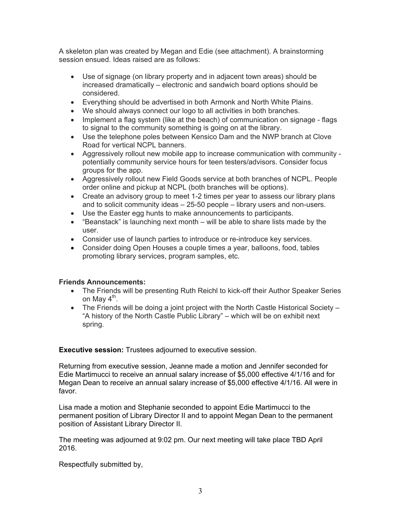A skeleton plan was created by Megan and Edie (see attachment). A brainstorming session ensued. Ideas raised are as follows:

- Use of signage (on library property and in adjacent town areas) should be increased dramatically – electronic and sandwich board options should be considered.
- Everything should be advertised in both Armonk and North White Plains.
- We should always connect our logo to all activities in both branches.
- Implement a flag system (like at the beach) of communication on signage flags to signal to the community something is going on at the library.
- Use the telephone poles between Kensico Dam and the NWP branch at Clove Road for vertical NCPL banners.
- Aggressively rollout new mobile app to increase communication with community potentially community service hours for teen testers/advisors. Consider focus groups for the app.
- Aggressively rollout new Field Goods service at both branches of NCPL. People order online and pickup at NCPL (both branches will be options).
- Create an advisory group to meet 1-2 times per year to assess our library plans and to solicit community ideas – 25-50 people – library users and non-users.
- Use the Easter egg hunts to make announcements to participants.
- $\bullet$  "Beanstack" is launching next month will be able to share lists made by the user.
- Consider use of launch parties to introduce or re-introduce key services.
- Consider doing Open Houses a couple times a year, balloons, food, tables promoting library services, program samples, etc.

# **Friends Announcements:**

- The Friends will be presenting Ruth Reichl to kick-off their Author Speaker Series on May  $4^{\text{th}}$ .
- The Friends will be doing a joint project with the North Castle Historical Society "A history of the North Castle Public Library" – which will be on exhibit next spring.

**Executive session:** Trustees adjourned to executive session.

Returning from executive session, Jeanne made a motion and Jennifer seconded for Edie Martimucci to receive an annual salary increase of \$5,000 effective 4/1/16 and for Megan Dean to receive an annual salary increase of \$5,000 effective 4/1/16. All were in favor.

Lisa made a motion and Stephanie seconded to appoint Edie Martimucci to the permanent position of Library Director II and to appoint Megan Dean to the permanent position of Assistant Library Director II.

The meeting was adjourned at 9:02 pm. Our next meeting will take place TBD April 2016.

Respectfully submitted by,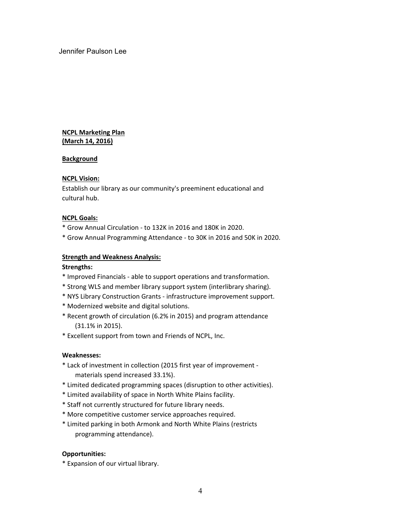Jennifer Paulson Lee

#### **NCPL Marketing Plan (March 14, 2016)**

#### **Background**

#### **NCPL Vision:**

E stablish our library as our community's preeminent educational and c ultural hub.

#### **NCPL Goals:**

- \* Grow Annual Circulation ‐ to 132K in 2016 and 180K in 2020.
- \* Grow Annual Programming Attendance ‐ to 30K in 2016 and 50K in 2020.

#### **Strength and Weakness Analysis:**

#### **Strengths:**

- \* Improved Financials ‐ able to support operations and transformation.
- \* Strong WLS and member library support system (interlibrary sharing).
- \* NYS Library Construction Grants ‐ infrastructure improvement support.
- \* Modernized website and digital solutions.
- \* Recent growth of circulation (6.2% in 2015) and program attendance (31.1% in 2015).
- \* Excellent support from town and Friends of NCPL, Inc.

#### **Weaknesses:**

- \* Lack of investment in collection (2015 first year of improvement ‐ materials spend increased 33.1%).
- \* Limited dedicated programming spaces (disruption to other activities).
- \* Limited availability of space in North White Plains facility.
- \* Staff not currently structured for future library needs.
- \* More competitive customer service approaches required.
- \* Limited parking in both Armonk and North White Plains (restricts programming attendance).

#### **Opportunities:**

\* Expansion of our virtual library.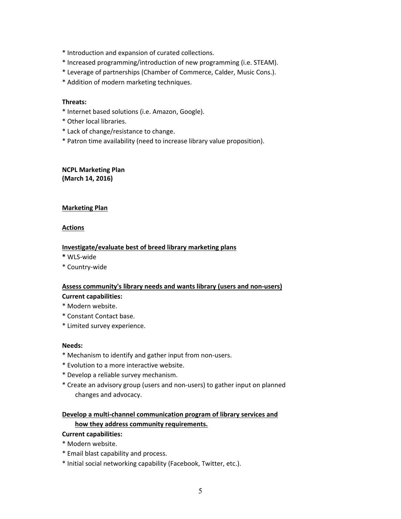- \* Introduction and expansion of curated collections.
- \* Increased programming/introduction of new programming (i.e. STEAM).
- \* Leverage of partnerships (Chamber of Commerce, Calder, Music Cons.).
- \* Addition of modern marketing techniques.

#### **Threats:**

- \* Internet based solutions (i.e. Amazon, Google).
- \* Other local libraries.
- \* Lack of change/resistance to change.
- \* Patron time availability (need to increase library value proposition).

#### **NCPL Marketing Plan (March 14, 2016)**

#### **Marketing Plan**

#### **Actions**

#### **Investigate/evaluate best of breed library marketing plans**

- **\*** WLS‐wide
- \* Country‐wide

# **Assess community's library needs and wants library (users and non‐users) Current capabilities:**

- \* Modern website.
- \* Constant Contact base.
- \* Limited survey experience.

#### **Needs:**

- \* Mechanism to identify and gather input from non‐users.
- \* Evolution to a more interactive website.
- \* Develop a reliable survey mechanism.
- \* Create an advisory group (users and non‐users) to gather input on planned changes and advocacy.

# **Develop a multi‐channel communication program of library services and how they address community requirements.**

#### **Current capabilities:**

- \* Modern website.
- \* Email blast capability and process.
- \* Initial social networking capability (Facebook, Twitter, etc.).